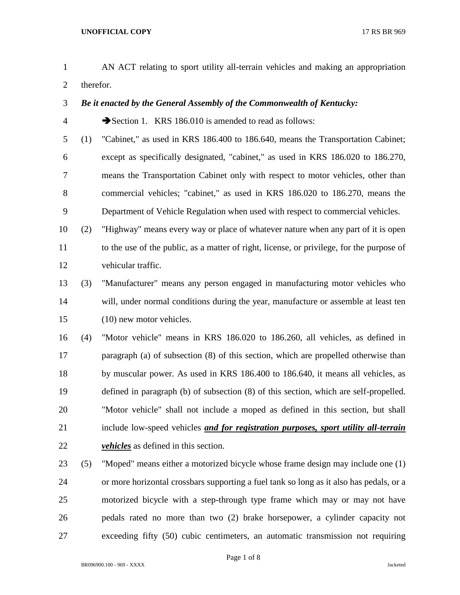- AN ACT relating to sport utility all-terrain vehicles and making an appropriation therefor.
- *Be it enacted by the General Assembly of the Commonwealth of Kentucky:*
- 4 Section 1. KRS 186.010 is amended to read as follows:
- (1) "Cabinet," as used in KRS 186.400 to 186.640, means the Transportation Cabinet; except as specifically designated, "cabinet," as used in KRS 186.020 to 186.270, means the Transportation Cabinet only with respect to motor vehicles, other than commercial vehicles; "cabinet," as used in KRS 186.020 to 186.270, means the Department of Vehicle Regulation when used with respect to commercial vehicles.
- (2) "Highway" means every way or place of whatever nature when any part of it is open to the use of the public, as a matter of right, license, or privilege, for the purpose of vehicular traffic.
- (3) "Manufacturer" means any person engaged in manufacturing motor vehicles who will, under normal conditions during the year, manufacture or assemble at least ten (10) new motor vehicles.

 (4) "Motor vehicle" means in KRS 186.020 to 186.260, all vehicles, as defined in paragraph (a) of subsection (8) of this section, which are propelled otherwise than by muscular power. As used in KRS 186.400 to 186.640, it means all vehicles, as defined in paragraph (b) of subsection (8) of this section, which are self-propelled. "Motor vehicle" shall not include a moped as defined in this section, but shall include low-speed vehicles *and for registration purposes, sport utility all-terrain vehicles* as defined in this section.

 (5) "Moped" means either a motorized bicycle whose frame design may include one (1) or more horizontal crossbars supporting a fuel tank so long as it also has pedals, or a motorized bicycle with a step-through type frame which may or may not have pedals rated no more than two (2) brake horsepower, a cylinder capacity not exceeding fifty (50) cubic centimeters, an automatic transmission not requiring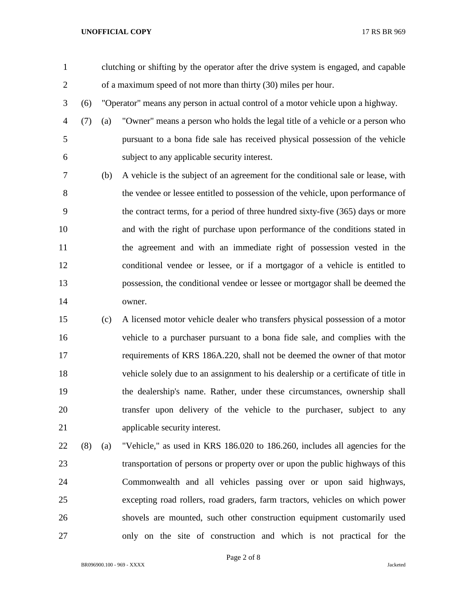## **UNOFFICIAL COPY** 17 RS BR 969

 clutching or shifting by the operator after the drive system is engaged, and capable of a maximum speed of not more than thirty (30) miles per hour.

- (6) "Operator" means any person in actual control of a motor vehicle upon a highway.
- (7) (a) "Owner" means a person who holds the legal title of a vehicle or a person who pursuant to a bona fide sale has received physical possession of the vehicle subject to any applicable security interest.
- (b) A vehicle is the subject of an agreement for the conditional sale or lease, with the vendee or lessee entitled to possession of the vehicle, upon performance of the contract terms, for a period of three hundred sixty-five (365) days or more and with the right of purchase upon performance of the conditions stated in the agreement and with an immediate right of possession vested in the conditional vendee or lessee, or if a mortgagor of a vehicle is entitled to possession, the conditional vendee or lessee or mortgagor shall be deemed the owner.
- (c) A licensed motor vehicle dealer who transfers physical possession of a motor vehicle to a purchaser pursuant to a bona fide sale, and complies with the requirements of KRS 186A.220, shall not be deemed the owner of that motor vehicle solely due to an assignment to his dealership or a certificate of title in the dealership's name. Rather, under these circumstances, ownership shall transfer upon delivery of the vehicle to the purchaser, subject to any applicable security interest.
- (8) (a) "Vehicle," as used in KRS 186.020 to 186.260, includes all agencies for the transportation of persons or property over or upon the public highways of this Commonwealth and all vehicles passing over or upon said highways, excepting road rollers, road graders, farm tractors, vehicles on which power shovels are mounted, such other construction equipment customarily used only on the site of construction and which is not practical for the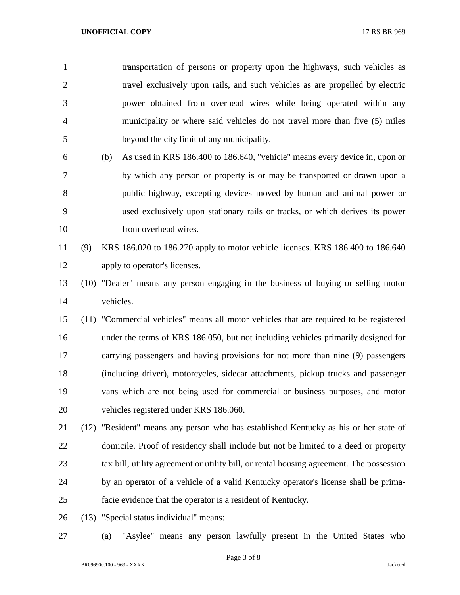| $\mathbf{1}$   |      |           | transportation of persons or property upon the highways, such vehicles as                |
|----------------|------|-----------|------------------------------------------------------------------------------------------|
| $\overline{2}$ |      |           | travel exclusively upon rails, and such vehicles as are propelled by electric            |
| 3              |      |           | power obtained from overhead wires while being operated within any                       |
| $\overline{4}$ |      |           | municipality or where said vehicles do not travel more than five (5) miles               |
| 5              |      |           | beyond the city limit of any municipality.                                               |
| 6              |      | (b)       | As used in KRS 186.400 to 186.640, "vehicle" means every device in, upon or              |
| 7              |      |           | by which any person or property is or may be transported or drawn upon a                 |
| 8              |      |           | public highway, excepting devices moved by human and animal power or                     |
| 9              |      |           | used exclusively upon stationary rails or tracks, or which derives its power             |
| 10             |      |           | from overhead wires.                                                                     |
| 11             | (9)  |           | KRS 186.020 to 186.270 apply to motor vehicle licenses. KRS 186.400 to 186.640           |
| 12             |      |           | apply to operator's licenses.                                                            |
| 13             |      |           | (10) "Dealer" means any person engaging in the business of buying or selling motor       |
| 14             |      | vehicles. |                                                                                          |
| 15             |      |           | (11) "Commercial vehicles" means all motor vehicles that are required to be registered   |
| 16             |      |           | under the terms of KRS 186.050, but not including vehicles primarily designed for        |
| 17             |      |           | carrying passengers and having provisions for not more than nine (9) passengers          |
| 18             |      |           | (including driver), motorcycles, sidecar attachments, pickup trucks and passenger        |
| 19             |      |           | vans which are not being used for commercial or business purposes, and motor             |
| 20             |      |           | vehicles registered under KRS 186.060.                                                   |
| 21             | (12) |           | "Resident" means any person who has established Kentucky as his or her state of          |
| 22             |      |           | domicile. Proof of residency shall include but not be limited to a deed or property      |
| 23             |      |           | tax bill, utility agreement or utility bill, or rental housing agreement. The possession |
| 24             |      |           | by an operator of a vehicle of a valid Kentucky operator's license shall be prima-       |
| 25             |      |           | facie evidence that the operator is a resident of Kentucky.                              |
| 26             | (13) |           | "Special status individual" means:                                                       |

(a) "Asylee" means any person lawfully present in the United States who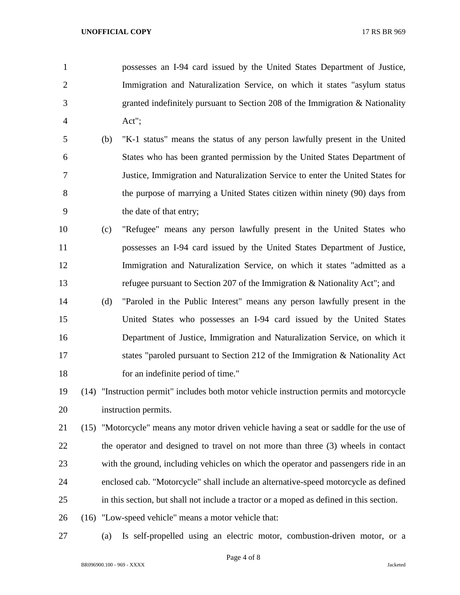- possesses an I-94 card issued by the United States Department of Justice, Immigration and Naturalization Service, on which it states "asylum status granted indefinitely pursuant to Section 208 of the Immigration & Nationality Act";
- (b) "K-1 status" means the status of any person lawfully present in the United States who has been granted permission by the United States Department of Justice, Immigration and Naturalization Service to enter the United States for the purpose of marrying a United States citizen within ninety (90) days from the date of that entry;
- (c) "Refugee" means any person lawfully present in the United States who possesses an I-94 card issued by the United States Department of Justice, Immigration and Naturalization Service, on which it states "admitted as a refugee pursuant to Section 207 of the Immigration & Nationality Act"; and
- (d) "Paroled in the Public Interest" means any person lawfully present in the United States who possesses an I-94 card issued by the United States Department of Justice, Immigration and Naturalization Service, on which it states "paroled pursuant to Section 212 of the Immigration & Nationality Act 18 for an indefinite period of time."
- (14) "Instruction permit" includes both motor vehicle instruction permits and motorcycle instruction permits.
- (15) "Motorcycle" means any motor driven vehicle having a seat or saddle for the use of the operator and designed to travel on not more than three (3) wheels in contact with the ground, including vehicles on which the operator and passengers ride in an enclosed cab. "Motorcycle" shall include an alternative-speed motorcycle as defined in this section, but shall not include a tractor or a moped as defined in this section.
- (16) "Low-speed vehicle" means a motor vehicle that:
- 

(a) Is self-propelled using an electric motor, combustion-driven motor, or a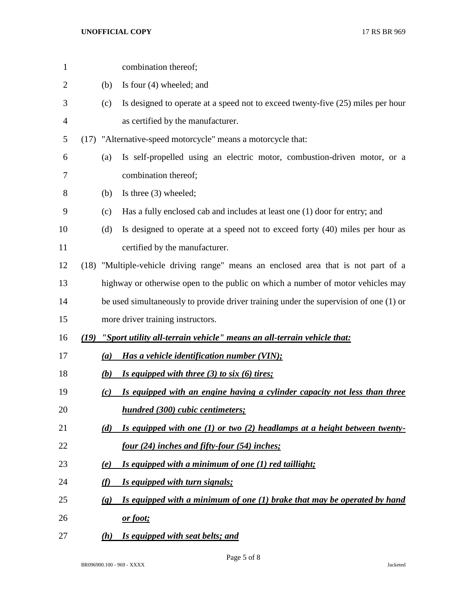## **UNOFFICIAL COPY** 17 RS BR 969

| $\mathbf{1}$   |      |                            | combination thereof;                                                                  |
|----------------|------|----------------------------|---------------------------------------------------------------------------------------|
| $\overline{2}$ |      | (b)                        | Is four $(4)$ wheeled; and                                                            |
| 3              |      | (c)                        | Is designed to operate at a speed not to exceed twenty-five (25) miles per hour       |
| 4              |      |                            | as certified by the manufacturer.                                                     |
| 5              |      |                            | (17) "Alternative-speed motorcycle" means a motorcycle that:                          |
| 6              |      | (a)                        | Is self-propelled using an electric motor, combustion-driven motor, or a              |
| 7              |      |                            | combination thereof;                                                                  |
| 8              |      | (b)                        | Is three $(3)$ wheeled;                                                               |
| 9              |      | (c)                        | Has a fully enclosed cab and includes at least one (1) door for entry; and            |
| 10             |      | (d)                        | Is designed to operate at a speed not to exceed forty (40) miles per hour as          |
| 11             |      |                            | certified by the manufacturer.                                                        |
| 12             |      |                            | (18) "Multiple-vehicle driving range" means an enclosed area that is not part of a    |
| 13             |      |                            | highway or otherwise open to the public on which a number of motor vehicles may       |
| 14             |      |                            | be used simultaneously to provide driver training under the supervision of one (1) or |
| 15             |      |                            | more driver training instructors.                                                     |
| 16             | (19) |                            | "Sport utility all-terrain vehicle" means an all-terrain vehicle that:                |
| 17             |      | (a)                        | Has a vehicle identification number (VIN);                                            |
| 18             |      | (b)                        | Is equipped with three (3) to six (6) tires;                                          |
| 19             |      | (c)                        | Is equipped with an engine having a cylinder capacity not less than three             |
| 20             |      |                            | hundred (300) cubic centimeters;                                                      |
| 21             |      | (d)                        | Is equipped with one $(1)$ or two $(2)$ headlamps at a height between twenty-         |
| 22             |      |                            | <u>four (24) inches and fifty-four (54) inches;</u>                                   |
| 23             |      | <u>(e)</u>                 | Is equipped with a minimum of one (1) red taillight;                                  |
| 24             |      | (f)                        | <u>Is equipped with turn signals;</u>                                                 |
| 25             |      | $\left( \mathbf{g}\right)$ | Is equipped with a minimum of one $(1)$ brake that may be operated by hand            |
| 26             |      |                            | <u>or foot;</u>                                                                       |
| 27             |      | (h)                        | <b>Is equipped with seat belts; and</b>                                               |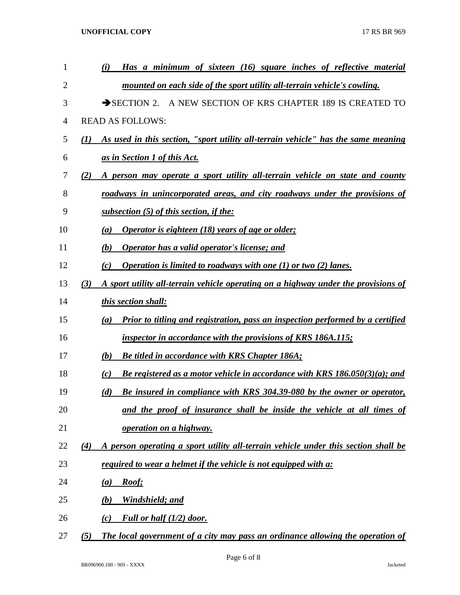| 1              | (i) | Has a minimum of sixteen (16) square inches of reflective material                 |
|----------------|-----|------------------------------------------------------------------------------------|
| 2              |     | mounted on each side of the sport utility all-terrain vehicle's cowling.           |
| 3              |     | $\rightarrow$ SECTION 2.<br>A NEW SECTION OF KRS CHAPTER 189 IS CREATED TO         |
| $\overline{4}$ |     | <b>READ AS FOLLOWS:</b>                                                            |
| 5              | (I) | As used in this section, "sport utility all-terrain vehicle" has the same meaning  |
| 6              |     | as in Section 1 of this Act.                                                       |
| 7              | (2) | A person may operate a sport utility all-terrain vehicle on state and county       |
| 8              |     | roadways in unincorporated areas, and city roadways under the provisions of        |
| 9              |     | subsection (5) of this section, if the:                                            |
| 10             | (a) | Operator is eighteen (18) years of age or older;                                   |
| 11             | (b) | Operator has a valid operator's license; and                                       |
| 12             | (c) | Operation is limited to roadways with one $(1)$ or two $(2)$ lanes.                |
| 13             | (3) | A sport utility all-terrain vehicle operating on a highway under the provisions of |
| 14             |     | this section shall:                                                                |
| 15             | (a) | Prior to titling and registration, pass an inspection performed by a certified     |
| 16             |     | <i>inspector in accordance with the provisions of KRS 186A.115;</i>                |
| 17             | (b) | <b>Be titled in accordance with KRS Chapter 186A;</b>                              |
| 18             | (c) | Be registered as a motor vehicle in accordance with KRS $186.050(3)(a)$ ; and      |
| 19             | (d) | <b>Be insured in compliance with KRS 304.39-080 by the owner or operator,</b>      |
| 20             |     | and the proof of insurance shall be inside the vehicle at all times of             |
| 21             |     | operation on a highway.                                                            |
| 22             | (4) | A person operating a sport utility all-terrain vehicle under this section shall be |
| 23             |     | required to wear a helmet if the vehicle is not equipped with a:                   |
| 24             | (a) | Roof;                                                                              |
| 25             | (b) | Windshield; and                                                                    |
| 26             | (c) | Full or half $(1/2)$ door.                                                         |
| 27             | (5) | The local government of a city may pass an ordinance allowing the operation of     |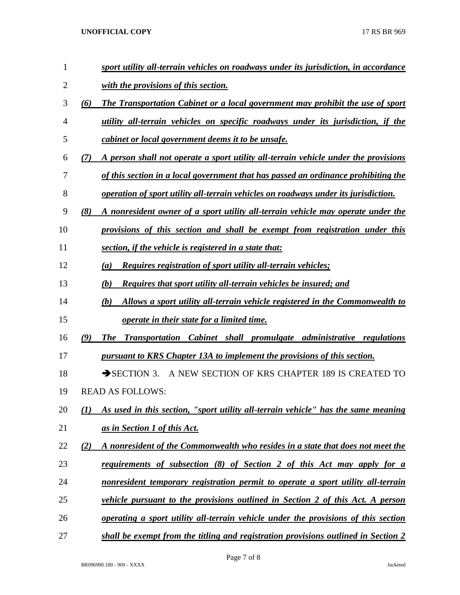## **UNOFFICIAL COPY** 17 RS BR 969

| $\mathbf{1}$   | sport utility all-terrain vehicles on roadways under its jurisdiction, in accordance       |
|----------------|--------------------------------------------------------------------------------------------|
| 2              | with the provisions of this section.                                                       |
| 3              | (6)<br>The Transportation Cabinet or a local government may prohibit the use of sport      |
| $\overline{4}$ | utility all-terrain vehicles on specific roadways under its jurisdiction, if the           |
| 5              | <i>cabinet or local government deems it to be unsafe.</i>                                  |
| 6              | A person shall not operate a sport utility all-terrain vehicle under the provisions<br>(7) |
| 7              | of this section in a local government that has passed an ordinance prohibiting the         |
| 8              | operation of sport utility all-terrain vehicles on roadways under its jurisdiction.        |
| 9              | (8)<br>A nonresident owner of a sport utility all-terrain vehicle may operate under the    |
| 10             | provisions of this section and shall be exempt from registration under this                |
| 11             | section, if the vehicle is registered in a state that:                                     |
| 12             | <u>Requires registration of sport utility all-terrain vehicles;</u><br>(a)                 |
| 13             | (b)<br><b>Requires that sport utility all-terrain vehicles be insured; and</b>             |
| 14             | (b)<br>Allows a sport utility all-terrain vehicle registered in the Commonwealth to        |
| 15             | <i>operate in their state for a limited time.</i>                                          |
| 16             | (9)<br><b>The</b><br>Transportation Cabinet shall promulgate administrative regulations    |
| 17             | pursuant to KRS Chapter 13A to implement the provisions of this section.                   |
| 18             | A NEW SECTION OF KRS CHAPTER 189 IS CREATED TO<br>$\rightarrow$ SECTION 3.                 |
| 19             | <b>READ AS FOLLOWS:</b>                                                                    |
| 20             | As used in this section, "sport utility all-terrain vehicle" has the same meaning<br>(I)   |
| 21             | as in Section 1 of this Act.                                                               |
| 22             | (2)<br>A nonresident of the Commonwealth who resides in a state that does not meet the     |
| 23             | requirements of subsection (8) of Section 2 of this Act may apply for a                    |
| 24             | nonresident temporary registration permit to operate a sport utility all-terrain           |
| 25             | <i>vehicle pursuant to the provisions outlined in Section 2 of this Act. A person</i>      |
| 26             | <u>operating a sport utility all-terrain vehicle under the provisions of this section</u>  |
| 27             | shall be exempt from the titling and registration provisions outlined in Section 2         |